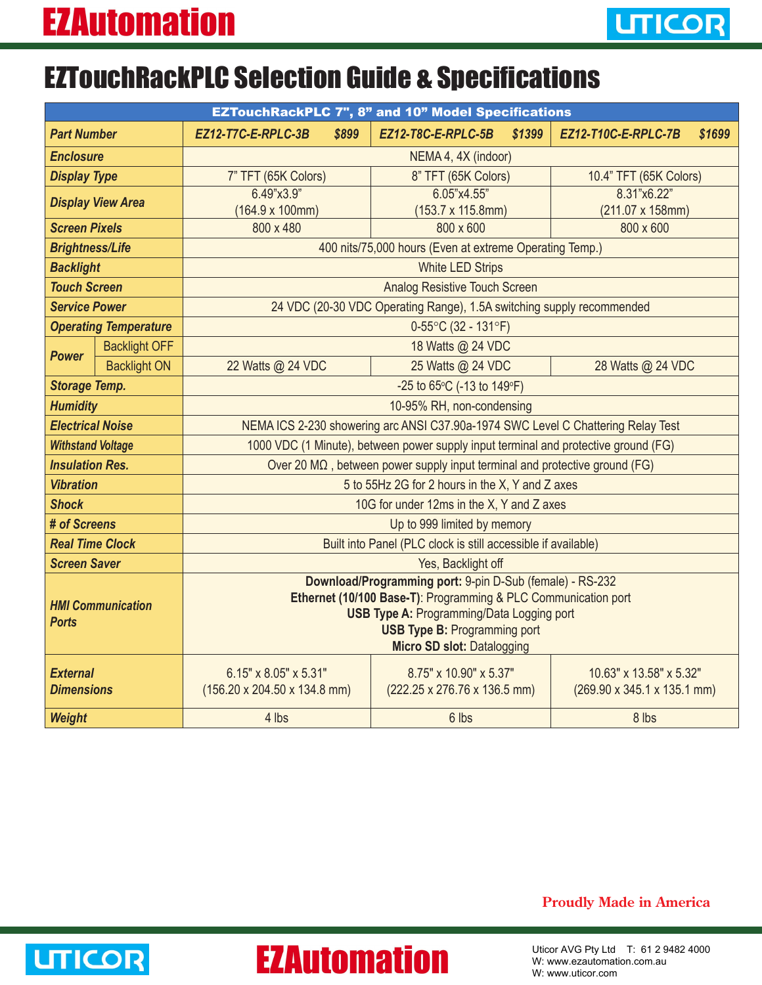## EZTouchRackPLC Selection Guide & Specifications

| <b>EZTouchRackPLC 7", 8" and 10" Model Specifications</b> |                      |                                                                                                                    |  |                              |        |                                                 |        |  |  |
|-----------------------------------------------------------|----------------------|--------------------------------------------------------------------------------------------------------------------|--|------------------------------|--------|-------------------------------------------------|--------|--|--|
| <b>Part Number</b>                                        |                      | EZ12-T7C-E-RPLC-3B<br>\$899                                                                                        |  | EZ12-T8C-E-RPLC-5B           | \$1399 | EZ12-T10C-E-RPLC-7B                             | \$1699 |  |  |
| <b>Enclosure</b>                                          |                      | NEMA 4, 4X (indoor)                                                                                                |  |                              |        |                                                 |        |  |  |
| <b>Display Type</b>                                       |                      | 7" TFT (65K Colors)                                                                                                |  | 8" TFT (65K Colors)          |        | 10.4" TFT (65K Colors)                          |        |  |  |
| <b>Display View Area</b>                                  |                      | 6.49"x3.9"                                                                                                         |  | 6.05"x4.55"                  |        | 8.31"x6.22"                                     |        |  |  |
|                                                           |                      | $(164.9 \times 100$ mm)                                                                                            |  | (153.7 x 115.8mm)            |        | (211.07 x 158mm)                                |        |  |  |
| <b>Screen Pixels</b>                                      |                      | 800 x 480                                                                                                          |  | 800 x 600                    |        | 800 x 600                                       |        |  |  |
| <b>Brightness/Life</b>                                    |                      | 400 nits/75,000 hours (Even at extreme Operating Temp.)                                                            |  |                              |        |                                                 |        |  |  |
| <b>Backlight</b>                                          |                      | <b>White LED Strips</b>                                                                                            |  |                              |        |                                                 |        |  |  |
| <b>Touch Screen</b>                                       |                      | <b>Analog Resistive Touch Screen</b>                                                                               |  |                              |        |                                                 |        |  |  |
| <b>Service Power</b>                                      |                      | 24 VDC (20-30 VDC Operating Range), 1.5A switching supply recommended                                              |  |                              |        |                                                 |        |  |  |
| <b>Operating Temperature</b>                              |                      | $0-55^{\circ}$ C (32 - 131 $^{\circ}$ F)                                                                           |  |                              |        |                                                 |        |  |  |
| <b>Power</b>                                              | <b>Backlight OFF</b> |                                                                                                                    |  | 18 Watts @ 24 VDC            |        |                                                 |        |  |  |
|                                                           | <b>Backlight ON</b>  | 22 Watts @ 24 VDC                                                                                                  |  | 25 Watts @ 24 VDC            |        | 28 Watts @ 24 VDC                               |        |  |  |
| <b>Storage Temp.</b>                                      |                      | -25 to 65°C (-13 to 149°F)                                                                                         |  |                              |        |                                                 |        |  |  |
| <b>Humidity</b>                                           |                      | 10-95% RH, non-condensing                                                                                          |  |                              |        |                                                 |        |  |  |
| <b>Electrical Noise</b>                                   |                      | NEMA ICS 2-230 showering arc ANSI C37.90a-1974 SWC Level C Chattering Relay Test                                   |  |                              |        |                                                 |        |  |  |
| <b>Withstand Voltage</b>                                  |                      | 1000 VDC (1 Minute), between power supply input terminal and protective ground (FG)                                |  |                              |        |                                                 |        |  |  |
| <b>Insulation Res.</b>                                    |                      | Over 20 MΩ, between power supply input terminal and protective ground (FG)                                         |  |                              |        |                                                 |        |  |  |
| <b>Vibration</b>                                          |                      | 5 to 55Hz 2G for 2 hours in the X, Y and Z axes                                                                    |  |                              |        |                                                 |        |  |  |
| <b>Shock</b>                                              |                      | 10G for under 12ms in the X, Y and Z axes                                                                          |  |                              |        |                                                 |        |  |  |
| # of Screens                                              |                      | Up to 999 limited by memory                                                                                        |  |                              |        |                                                 |        |  |  |
| <b>Real Time Clock</b>                                    |                      | Built into Panel (PLC clock is still accessible if available)                                                      |  |                              |        |                                                 |        |  |  |
| <b>Screen Saver</b>                                       |                      | Yes, Backlight off                                                                                                 |  |                              |        |                                                 |        |  |  |
| <b>HMI Communication</b><br><b>Ports</b>                  |                      | Download/Programming port: 9-pin D-Sub (female) - RS-232                                                           |  |                              |        |                                                 |        |  |  |
|                                                           |                      | Ethernet (10/100 Base-T): Programming & PLC Communication port<br><b>USB Type A: Programming/Data Logging port</b> |  |                              |        |                                                 |        |  |  |
|                                                           |                      | <b>USB Type B: Programming port</b>                                                                                |  |                              |        |                                                 |        |  |  |
|                                                           |                      | Micro SD slot: Datalogging                                                                                         |  |                              |        |                                                 |        |  |  |
| <b>External</b><br><b>Dimensions</b>                      |                      | 6.15" x 8.05" x 5.31"                                                                                              |  | 8.75" x 10.90" x 5.37"       |        | 10.63" x 13.58" x 5.32"                         |        |  |  |
|                                                           |                      | $(156.20 \times 204.50 \times 134.8 \text{ mm})$                                                                   |  | (222.25 x 276.76 x 136.5 mm) |        | $(269.90 \times 345.1 \times 135.1 \text{ mm})$ |        |  |  |
|                                                           |                      |                                                                                                                    |  |                              |        |                                                 |        |  |  |
| Weight                                                    |                      | 4 lbs                                                                                                              |  | 6 lbs                        |        | 8 lbs                                           |        |  |  |

## **Proudly Made in America**



## **EZAutomation**

Uticor AVG Pty Ltd T: 61 2 9482 4000 W: www.ezautomation.com.au W: www.uticor.com